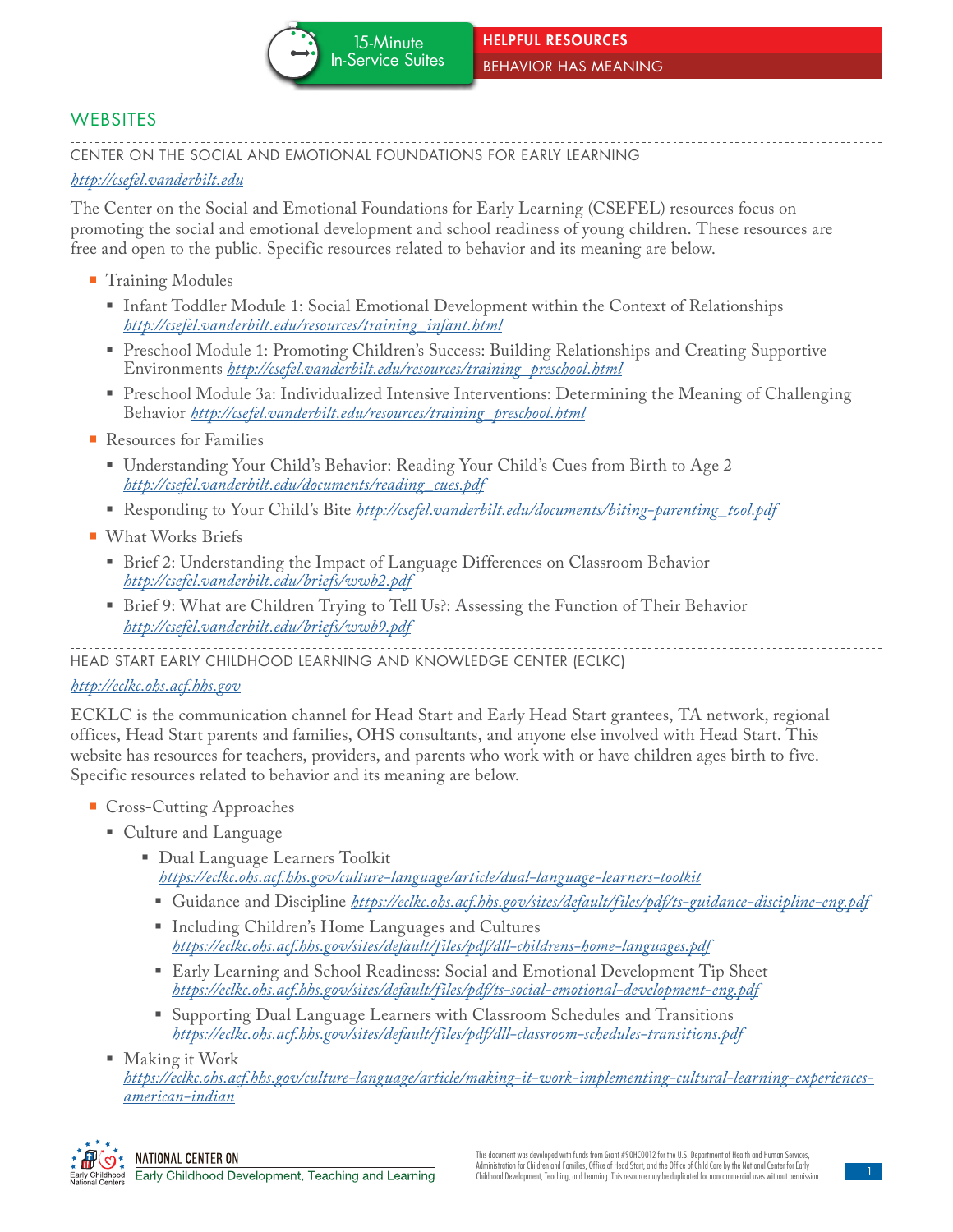# **WEBSITES**

CENTER ON THE SOCIAL AND EMOTIONAL FOUNDATIONS FOR EARLY LEARNING

#### *<http://csefel.vanderbilt.edu>*

The Center on the Social and Emotional Foundations for Early Learning (CSEFEL) resources focus on promoting the social and emotional development and school readiness of young children. These resources are free and open to the public. Specific resources related to behavior and its meaning are below.

- **Training Modules** 
	- Infant Toddler Module 1: Social Emotional Development within the Context of Relationships *[http://csefel.vanderbilt.edu/resources/training\\_infant.html](http://csefel.vanderbilt.edu/resources/training_infant.html)*
	- Preschool Module 1: Promoting Children's Success: Building Relationships and Creating Supportive Environments *[http://csefel.vanderbilt.edu/resources/training\\_preschool.html](http://csefel.vanderbilt.edu/resources/training_preschool.html)*
	- Preschool Module 3a: Individualized Intensive Interventions: Determining the Meaning of Challenging Behavior *[http://csefel.vanderbilt.edu/resources/training\\_preschool.html](http://csefel.vanderbilt.edu/resources/training_preschool.html)*
- Resources for Families
	- Understanding Your Child's Behavior: Reading Your Child's Cues from Birth to Age 2 *[http://csefel.vanderbilt.edu/documents/reading\\_cues.pdf](http://csefel.vanderbilt.edu/documents/reading_cues.pdf)*
	- Responding to Your Child's Bite *[http://csefel.vanderbilt.edu/documents/biting-parenting\\_tool.pdf](http://csefel.vanderbilt.edu/documents/biting-parenting_tool.pdf)*
- **What Works Briefs** 
	- **Billary Brief 2: Understanding the Impact of Language Differences on Classroom Behavior** *<http://csefel.vanderbilt.edu/briefs/wwb2.pdf>*
	- Brief 9: What are Children Trying to Tell Us?: Assessing the Function of Their Behavior *<http://csefel.vanderbilt.edu/briefs/wwb9.pdf>*

HEAD START EARLY CHILDHOOD LEARNING AND KNOWLEDGE CENTER (ECLKC)

# *<http://eclkc.ohs.acf.hhs.gov>*

ECKLC is the communication channel for Head Start and Early Head Start grantees, TA network, regional offices, Head Start parents and families, OHS consultants, and anyone else involved with Head Start. This website has resources for teachers, providers, and parents who work with or have children ages birth to five. Specific resources related to behavior and its meaning are below.

- Cross-Cutting Approaches
	- Culture and Language
		- Dual Language Learners Toolkit *<https://eclkc.ohs.acf.hhs.gov/culture-language/article/dual-language-learners-toolkit>*
			- Guidance and Discipline *<https://eclkc.ohs.acf.hhs.gov/sites/default/files/pdf/ts-guidance-discipline-eng.pdf>*
			- Including Children's Home Languages and Cultures *<https://eclkc.ohs.acf.hhs.gov/sites/default/files/pdf/dll-childrens-home-languages.pdf>*
			- Early Learning and School Readiness: Social and Emotional Development Tip Sheet *<https://eclkc.ohs.acf.hhs.gov/sites/default/files/pdf/ts-social-emotional-development-eng.pdf>*
			- Supporting Dual Language Learners with Classroom Schedules and Transitions *<https://eclkc.ohs.acf.hhs.gov/sites/default/files/pdf/dll-classroom-schedules-transitions.pdf>*
	- Making it Work *[https://eclkc.ohs.acf.hhs.gov/culture-language/article/making-it-work-implementing-cultural-learning-experiences](https://eclkc.ohs.acf.hhs.gov/culture-language/article/making-it-work-implementing-cultural-learning-experiences-american-indian)american-indian*

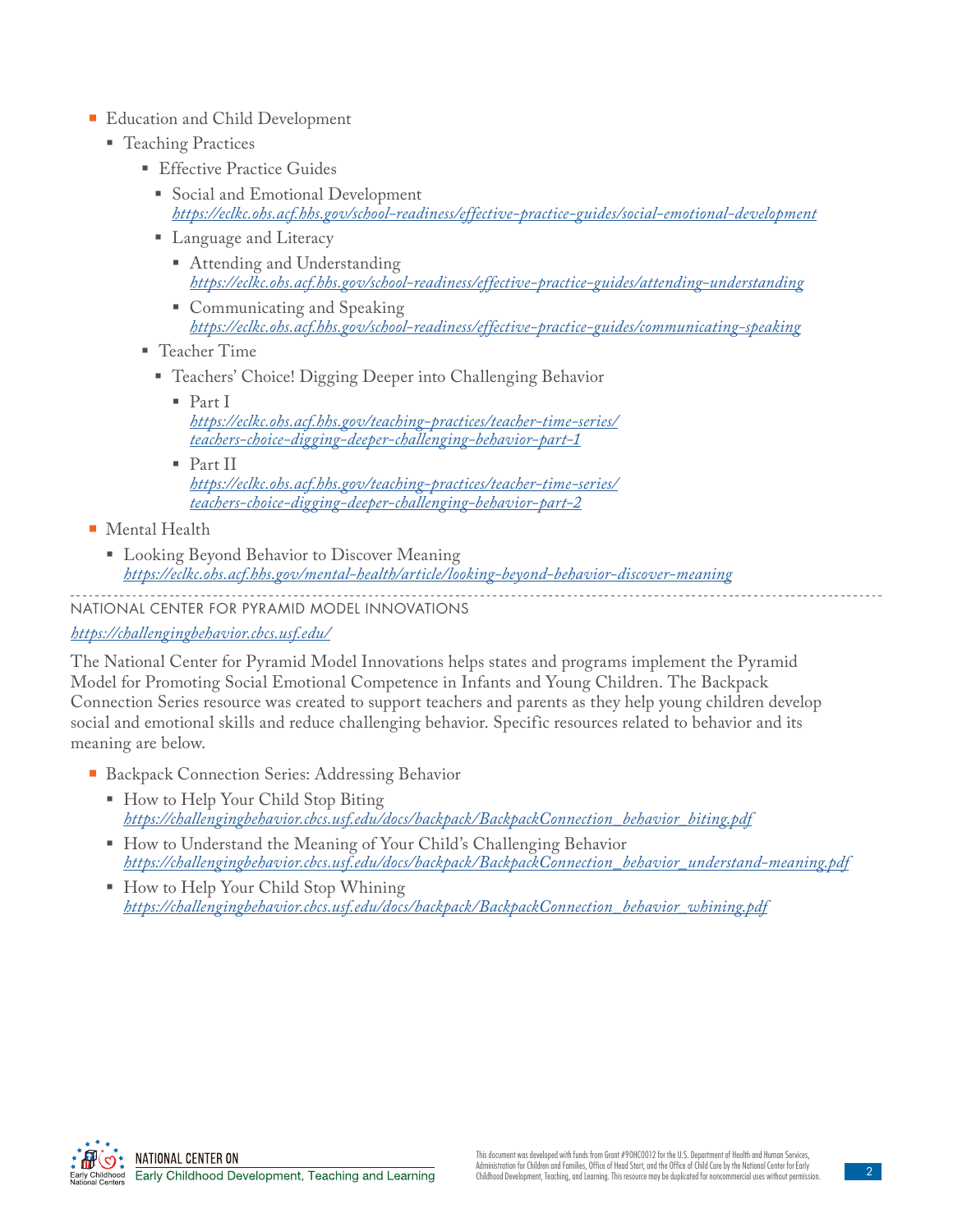### **Education and Child Development**

- **Teaching Practices** 
	- **Effective Practice Guides** 
		- Social and Emotional Development *<https://eclkc.ohs.acf.hhs.gov/school-readiness/effective-practice-guides/social-emotional-development>*
		- Language and Literacy
			- Attending and Understanding *<https://eclkc.ohs.acf.hhs.gov/school-readiness/effective-practice-guides/attending-understanding>*
			- Communicating and Speaking *<https://eclkc.ohs.acf.hhs.gov/school-readiness/effective-practice-guides/communicating-speaking>*
	- Teacher Time
		- Teachers' Choice! Digging Deeper into Challenging Behavior
			- Part I *[https://eclkc.ohs.acf.hhs.gov/teaching-practices/teacher-time-series/](https://eclkc.ohs.acf.hhs.gov/teaching-practices/teacher-time-series/teachers-choice-digging-deeper-challenging-behavior-part-1) teachers-choice-digging-deeper-challenging-behavior-part-1*
			- Part II *[https://eclkc.ohs.acf.hhs.gov/teaching-practices/teacher-time-series/](https://eclkc.ohs.acf.hhs.gov/teaching-practices/teacher-time-series/teachers-choice-digging-deeper-challenging-behavior-part-2) teachers-choice-digging-deeper-challenging-behavior-part-2*
- **Mental Health** 
	- Looking Beyond Behavior to Discover Meaning *<https://eclkc.ohs.acf.hhs.gov/mental-health/article/looking-beyond-behavior-discover-meaning>*

#### NATIONAL CENTER FOR PYRAMID MODEL INNOVATIONS

# *<https://challengingbehavior.cbcs.usf.edu/>*

The National Center for Pyramid Model Innovations helps states and programs implement the Pyramid Model for Promoting Social Emotional Competence in Infants and Young Children. The Backpack Connection Series resource was created to support teachers and parents as they help young children develop social and emotional skills and reduce challenging behavior. Specific resources related to behavior and its meaning are below.

- Backpack Connection Series: Addressing Behavior
	- How to Help Your Child Stop Biting *[https://challengingbehavior.cbcs.usf.edu/docs/backpack/BackpackConnection\\_behavior\\_biting.pdf](https://challengingbehavior.cbcs.usf.edu/docs/backpack/BackpackConnection_behavior_biting.pdf)*
	- How to Understand the Meaning of Your Child's Challenging Behavior *[https://challengingbehavior.cbcs.usf.edu/docs/backpack/BackpackConnection\\_behavior\\_understand-meaning.pdf](https://challengingbehavior.cbcs.usf.edu/docs/backpack/BackpackConnection_behavior_biting.pdf)*
	- How to Help Your Child Stop Whining *[https://challengingbehavior.cbcs.usf.edu/docs/backpack/BackpackConnection\\_behavior\\_whining.pdf](https://challengingbehavior.cbcs.usf.edu/docs/backpack/BackpackConnection_behavior_whining.pdf)*